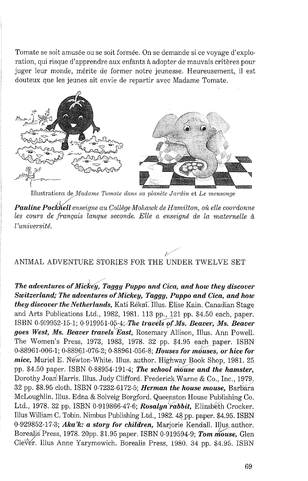Tomate se soit amusée ou se soit formée. On se demande si ce voyage d'exploration, qui risque d'apprendre aux enfants à adopter de mauvais critères pour juger leur monde, mérite de former notre jeunesse. Heureusement, il est douteux que les jeunes ait envie de repartir avec Madame Tomate.



Illustrations de Madame Tomate dans sa planète Jardin et Le mensonge

Pauline Pocknell enseigne au Collège Mohawk de Hamilton, où elle coordonne *les cours de franqais langue seconde. Elle a enseigne' de la maternelle* & 1 *'universite'.* 

## $\mathscr{C}$ ANIMAL ADVENTURE STORIES FOR THE UNDER TWELVE SET

*The adventures of Mickey, Taggy Puppo and Cica, and how they discover Switzerland; The adventures of Mickey, Taggy, Puppo and Cica, and how they discover the Netherlands,* Kati Rekai. 1llus. Elise Kain. Canadian Stage and Arts Publications Ltd., 1982, 1981. 113 pp., 121 pp. \$4.50 each, paper. ISBN 0-919952-15-1; 0-919951-05-4; *The travels of Ms. Beaver, Ms. Beaver* goes West, Ms. Beaver travels East, Rosemary Allison, Illus. Ann Powell. The Women's Press, 1973, 1983, 1978. 32 pp. \$4.95 each paper. ISBN 0-88961-006-1; 0-88961-076-2; 0-88961-056-8; *Houses for mduses, or hice for mice*, Muriel E. Newton-White. Illus. author. Highway Book Shop, 1981. 25 pp. \$4.50 paper. ISBN 0-88954-191-4; *The school mouse and the hamster*, Dorothy Joan<sup>{</sup>Harris. Illus. Judy Clifford. Frederick Warne & Co., Inc., 1979. 32 pp. \$8.95 cloth. ISBN 0-7232-6172-5; *Herman the house mouse*, Barbara McLoughlin. Illus. Edna & Solveig Borgford. Queenston House Publishing Co. Ltd., 1978. 32 pp. ISBN 0-919866-47-6; *Rosalyn rabbit*, Elizabeth Crocker. Illus William C. Tobin. Nimbus Publishing Ltd., 1982. 48 pp. paper. \$4.95. ISBN 0-929852-17-3; *Aka'k: a story for children,* Marjorie Kendall. Illus author. Borealis<sup>'</sup> Press, 1978. 20pp. \$1.95 paper. ISBN 0-919594-9; *Tom mouse*, Glen Clever. Illus Anne Yarymowich. Borealis Press, 1980. 34 pp. \$4.95. ISBN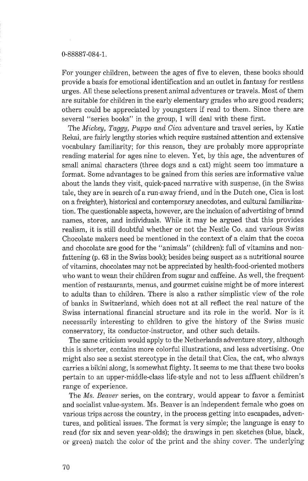## 0-88887-084-1.

For younger children, between the ages of five to eleven, these books should provide a basis for emotional identification and an outlet in fantasy for restless urges. All these selections present animal adventures or travels. Most of them are suitable for children in the early elementary grades who are good readers; others could be appreciated by youngsters if read to them. Since there are several "series books" in the group, I will deal with these first.

The *Mickey, Taggy,* Puppo *and Cica,* adventure and travel series, by Katie Reltai, are fairly lengthy stories which require sustained attention and extensive vocabulary familiarity; for this reason, they are probably more appropriate reading material for ages nine to eleven. Yet, by this age, the adventures of small animal characters (three dogs and a cat) might seem too immature a format. Some advantages to be gained from this series are informative value about the lands they visit, quick-paced narrative with suspense, (in the Swiss tale, they are in search of a run-away friend, and in the Dutch one, Cica is lost on a freighter), historical and contemporary anecdotes, and cultural familiarization. The questionable aspects, however, are the inclusion of advertising of brand names, stores, and individuals. While it may be argued that this provides realism, it is still doubtful whether or not the Nestle Co. and various Swiss Chocolate makers need be mentioned in the context of a claim that the cocoa and chocolate are good for the "animals" (children): full of vitamins and nonfattening (p. 63 in the Swiss book); besides being suspect as a nutritional source of vitamins, chocolates may not be appreciated by health-food-oriented mothers who want to wean their children from sugar and caffeine. As well, the frequentmention of restaurants, menus, and gourmet cuisine might be of more interest to adults than to children. There is also a rather simplistic view of the role of banks in Switzerland, which does not at all reflect the real nature of the Swiss international financial structure and its role in the world. Nor is it necessarily interesting to children to give the history of the Swiss music conservatory, its conductor-instructor, and other such details.

The same criticism would apply to the Netherlands adventure story, although this is shorter, contains more colorful illustrations, and less advertising. One might also see a sexist stereotype in the detail that Cica, the cat, who always carries a bikini along, is somewhat flighty. It seems to me that these two books pertain to an upper-middle-class life-style and not to less affluent children's range of experience.

The *Ms. Beaver* series, on the contrary, would appear to favor a feminist and socialist value-system. Ms. Beaver is an independent female who goes on various trips across the country, in the process getting into escapades, adventures, and political issues. The format is very simple; the language is easy to read (for six and seven year-olds); the drawings in pen sketches (blue, black, or green) match the color of the print and the shiny cover. The underlying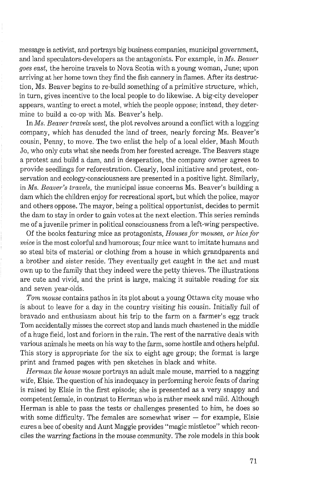message is activist, and portrays big business companies, municipal government, and land speculators-developers as the antagonists. For example, in *Ms. Beaver goes east,* the heroine travels to Nova Scotia with a young woman, June; upon arriving at her home town they find the fish cannery in flames. After its destruction, Ms. Beaver begins to re-build something of a primitive structure, which, in turn, gives incentive to the local people to do likewise. A big-city developer appears, wanting to erect a motel, which the people oppose; instead, they determine to build a co-op with Ms. Beaver's help.

In *Ms. Beaver travels west,* the plot revolves around a conflict with a logging company, which has denuded the land of trees, nearly forcing Ms. Beaver's cousin, Penny, to move. The two enlist the help of a local elder, Mash Mouth Jo, who only cuts what she needs from her forested acreage. The Beavers stage a protest and build a dam, and in desperation, the company owner agrees to provide seedlings for reforestration. Clearly, local initiative and protest, conservation and ecology-consciousness are presented in a positive light. SimilarIy, in *Ms. Beaver's travels,* the municipal issue concerns Ms. Beaver's building a dam which the children enjoy for recreational sport, but which the police, mayor and others oppose. The mayor, being a political opportunist, decides to permit the dam to stay in order to gain votes at the next election. This series reminds me of a juvenile primer in political consciousness from a left-wing perspective.

Of the books featuring mice as protagonists, *Houses for mouses, or kice for mice* is the most colorful and humorous; four mice want to imitate humans and so steal bits of material or clothing from a house in which grandparents and a brother and sister reside. They eventually get caught in the act and must own up to the family that they indeed were the petty thieves. The illustrations are cute and vivid, and the print is large, making it suitable reading for six and seven year-olds.

*Tom mouse* contains pathos in its plot about a young Ottawa city mouse who is about to leave for a day in the country visiting his cousin. Initially full of bravado and enthusiasm about his trip to the farm on a farmer's egg truck Tom accidentally misses the correct stop and lands much chastened in the middle of a huge field, lost and forlorn in the rain. The rest of the narrative deals with various animals he meets on his way to the farm, some hostile and others helpful. This story is appropriate for the six to eight age group; the format is large print and framed pages with pen sketches in black and white.

*Herman the house mouse portrays an adult male mouse, married to a nagging* wife, Elsie. The question of his inadequacy in performing heroic feats of daring is raised by Elsie in the first episode; she is presented as a very snappy and competent female, in contrast to Herman who is rather meek and mild. Although Herman is able to pass the tests or challenges presented to him, he does so with some difficulty. The females are somewhat wiser  $-$  for example, Elsie cures a bee of obesity and Aunt Maggie provides "magic mistletoe" which reconciles the warring factions in the mouse community. The role models in this boolr